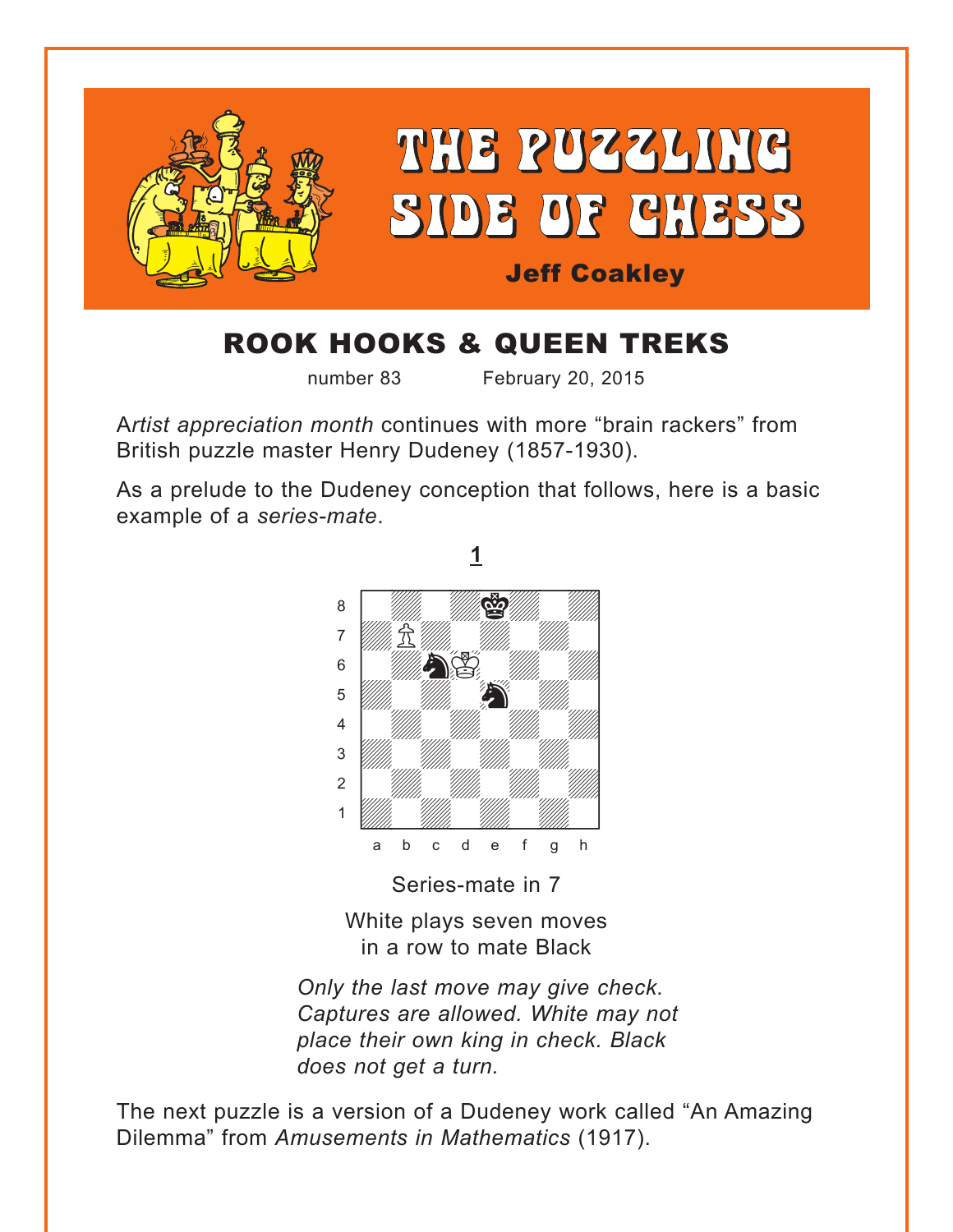<span id="page-0-0"></span>

## ROOK HOOKS & QUEEN TREKS

number 83 February 20, 2015

A*rtist appreciation month* continues with more "brain rackers" from British puzzle master Henry Dudeney (1857-1930).

As a prelude to the Dudeney conception that follows, here is a basic example of a *series-mate*.



Series-mate in 7

White plays seven moves in a row to mate Black

*Only the last move may give check. Captures are allowed. White may not place their own king in check. Black does not get a turn.* 

The next puzzle is a version of a Dudeney work called "An Amazing Dilemma" from *Amusements in Mathematics* (1917).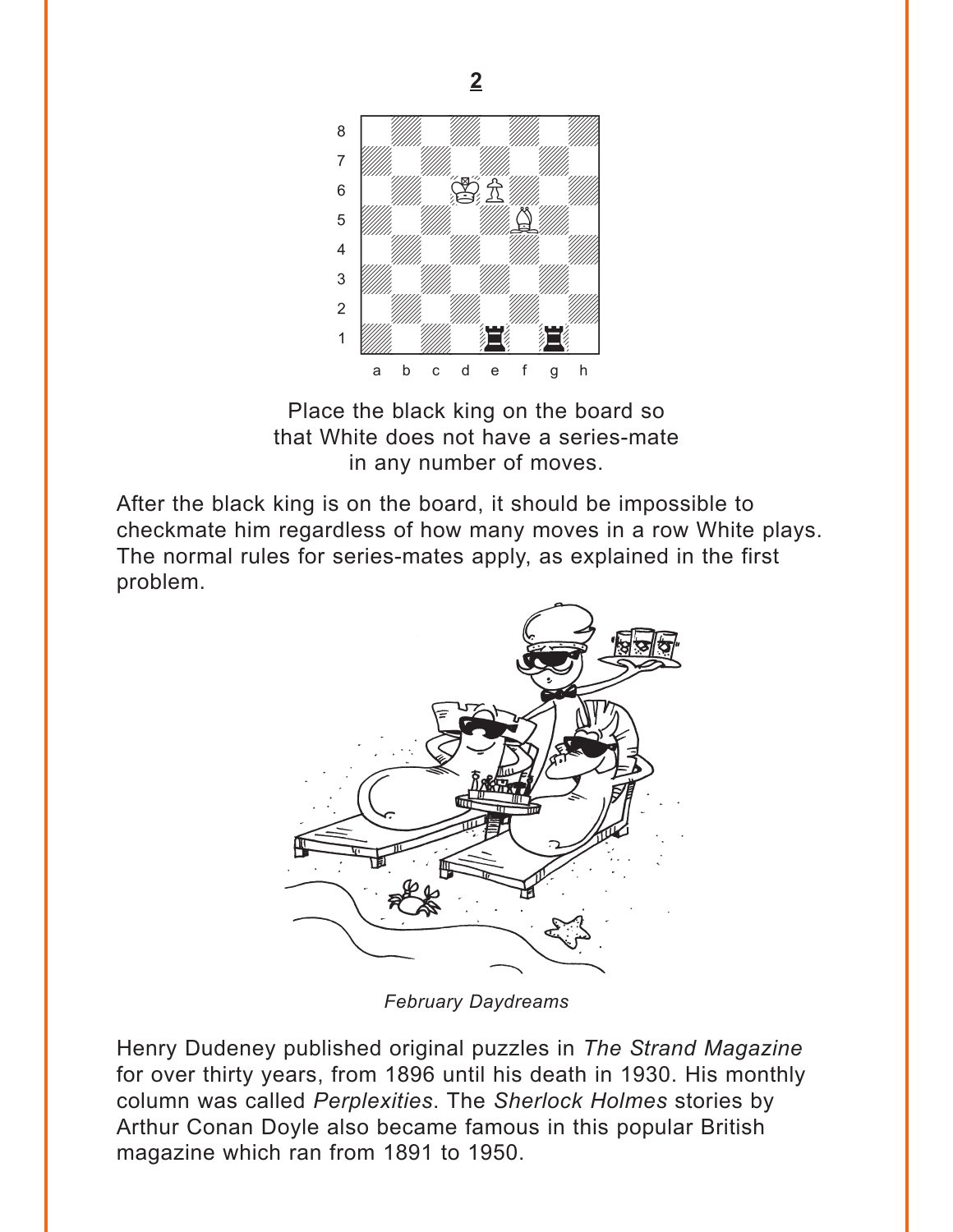<span id="page-1-0"></span>

Place the black king on the board so that White does not have a series-mate in any number of moves.

After the black king is on the board, it should be impossible to checkmate him regardless of how many moves in a row White plays. The normal rules for series-mates apply, as explained in the first problem.



*February Daydreams*

Henry Dudeney published original puzzles in *The Strand Magazine* for over thirty years, from 1896 until his death in 1930. His monthly column was called *Perplexities*. The *Sherlock Holmes* stories by Arthur Conan Doyle also became famous in this popular British magazine which ran from 1891 to 1950.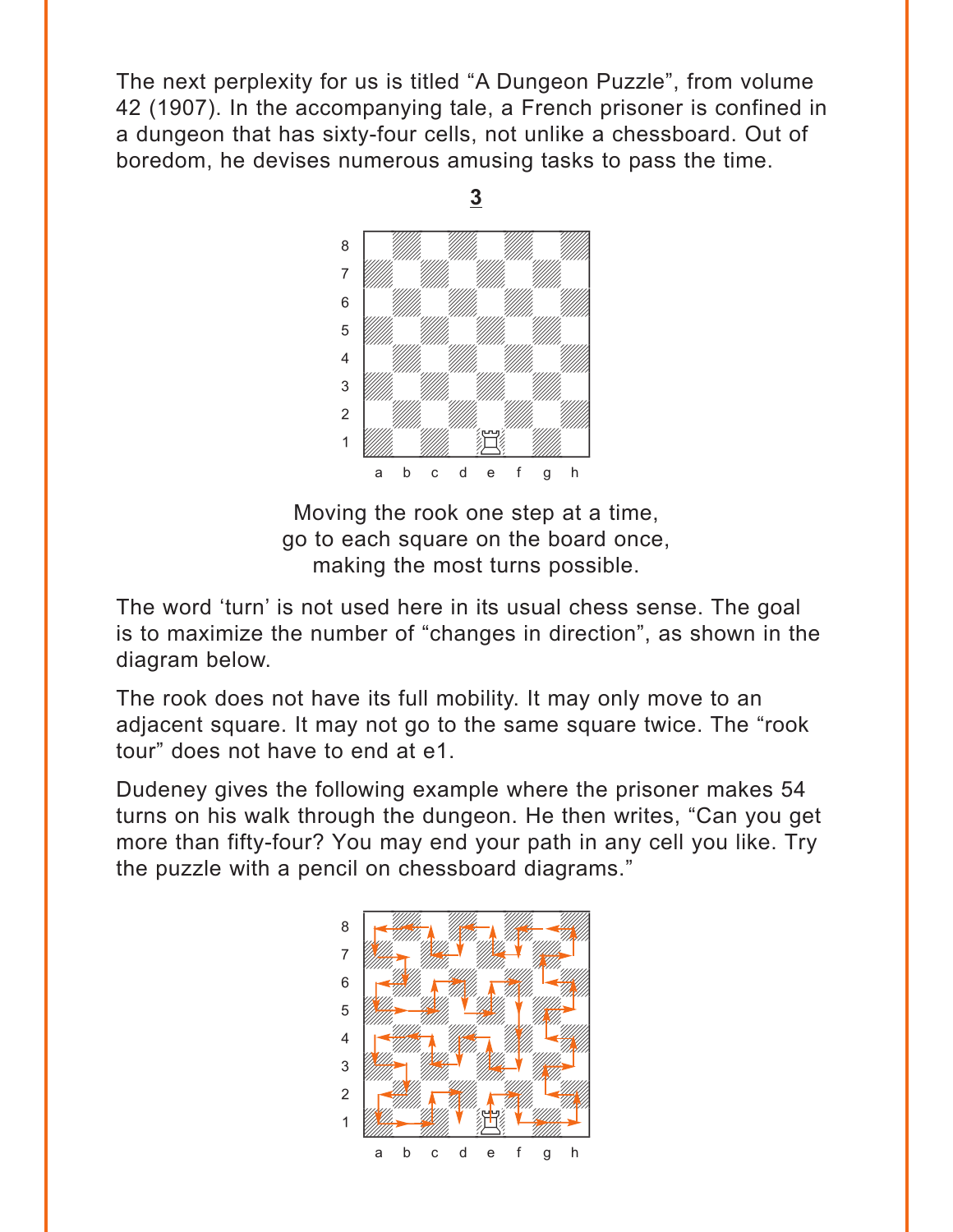<span id="page-2-0"></span>The next perplexity for us is titled "A Dungeon Puzzle", from volume 42 (1907). In the accompanying tale, a French prisoner is confined in a dungeon that has sixty-four cells, not unlike a chessboard. Out of boredom, he devises numerous amusing tasks to pass the time.



Moving the rook one step at a time, go to each square on the board once, making the most turns possible.

The word 'turn' is not used here in its usual chess sense. The goal is to maximize the number of "changes in direction", as shown in the diagram below.

The rook does not have its full mobility. It may only move to an adjacent square. It may not go to the same square twice. The "rook tour" does not have to end at e1.

Dudeney gives the following example where the prisoner makes 54 turns on his walk through the dungeon. He then writes, "Can you get more than fifty-four? You may end your path in any cell you like. Try the puzzle with a pencil on chessboard diagrams."

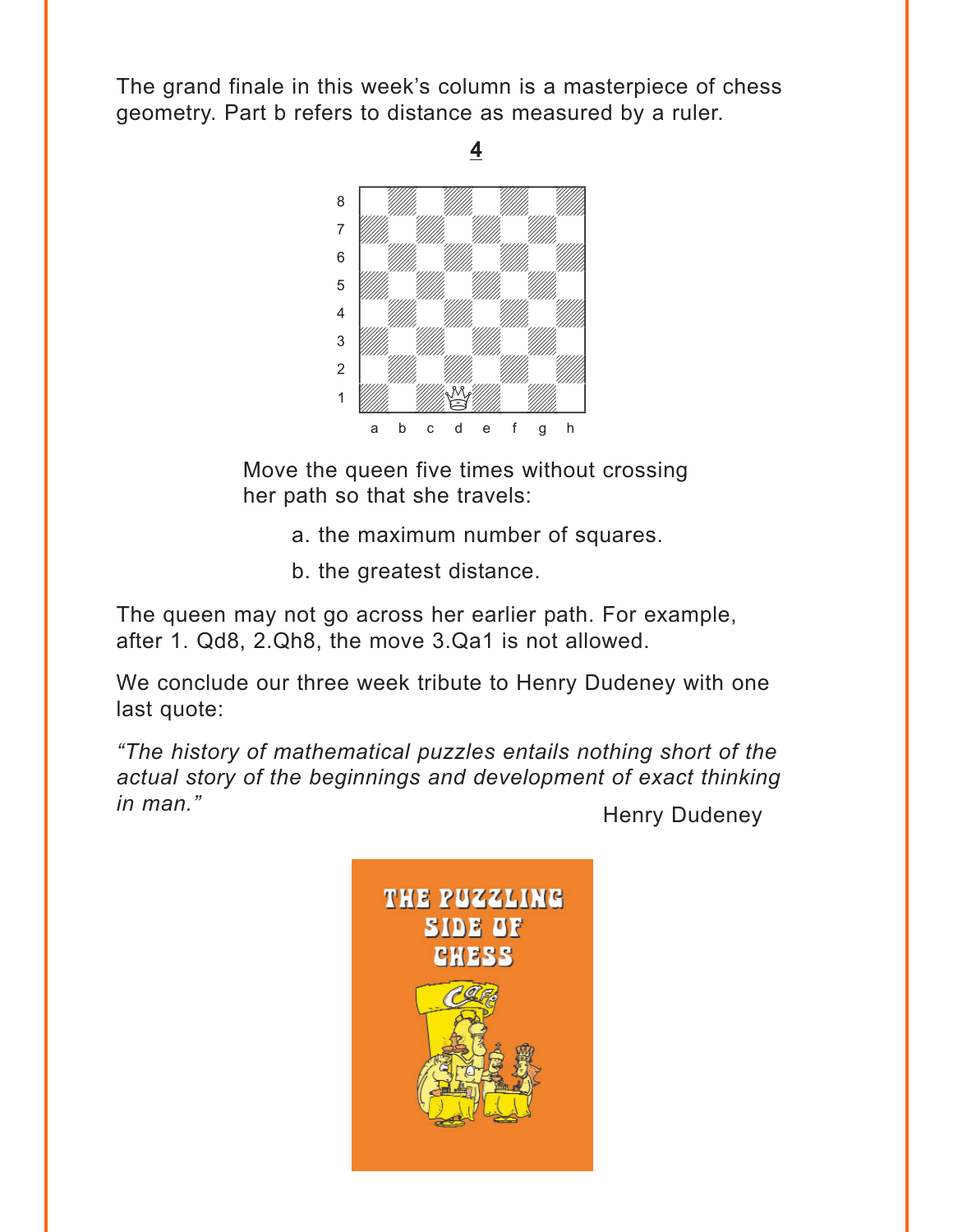<span id="page-3-0"></span>The grand finale in this week's column is a masterpiece of chess geometry. Part b refers to distance as measured by a ruler.



Move the queen five times without crossing her path so that she travels:

- a. the maximum number of squares.
- b. the greatest distance.

The queen may not go across her earlier path. For example, after 1. Qd8, 2.Qh8, the move 3.Qa1 is not allowed.

We conclude our three week tribute to Henry Dudeney with one last quote:

*"The history of mathematical puzzles entails nothing short of the actual story of the beginnings and development of exact thinking in man.*" **All Accords** Enterprise and Henry Dudeney

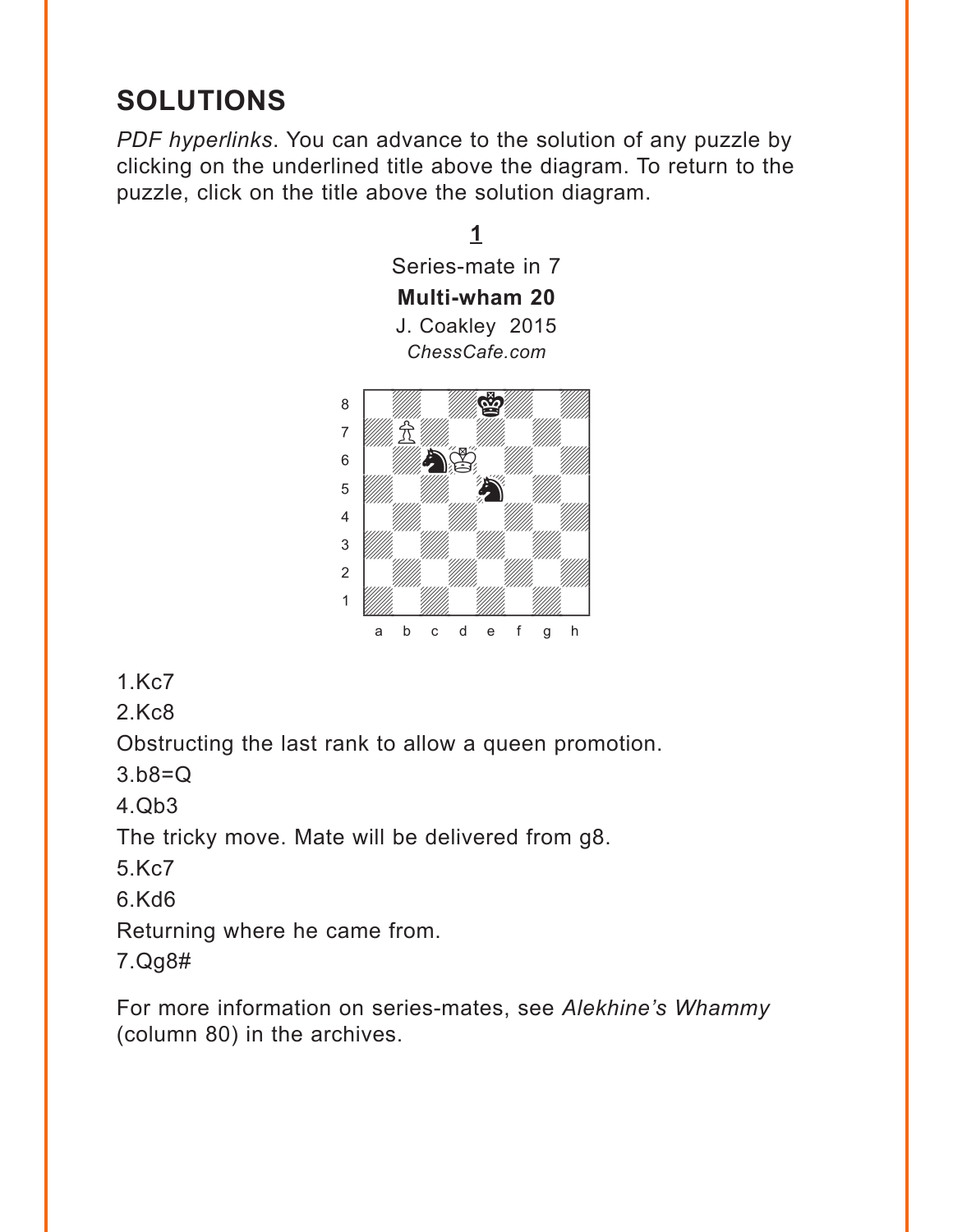## <span id="page-4-0"></span>**SOLUTIONS**

*PDF hyperlinks*. You can advance to the solution of any puzzle by clicking on the underlined title above the diagram. To return to the puzzle, click on the title above the solution diagram.



1.Kc7

2.Kc8

Obstructing the last rank to allow a queen promotion.

3.b8=Q

4.Qb3

The tricky move. Mate will be delivered from g8.

5.Kc7

6.Kd6

Returning where he came from.

7.Qg8#

For more information on series-mates, see *Alekhine's Whammy* (column 80) in the archives.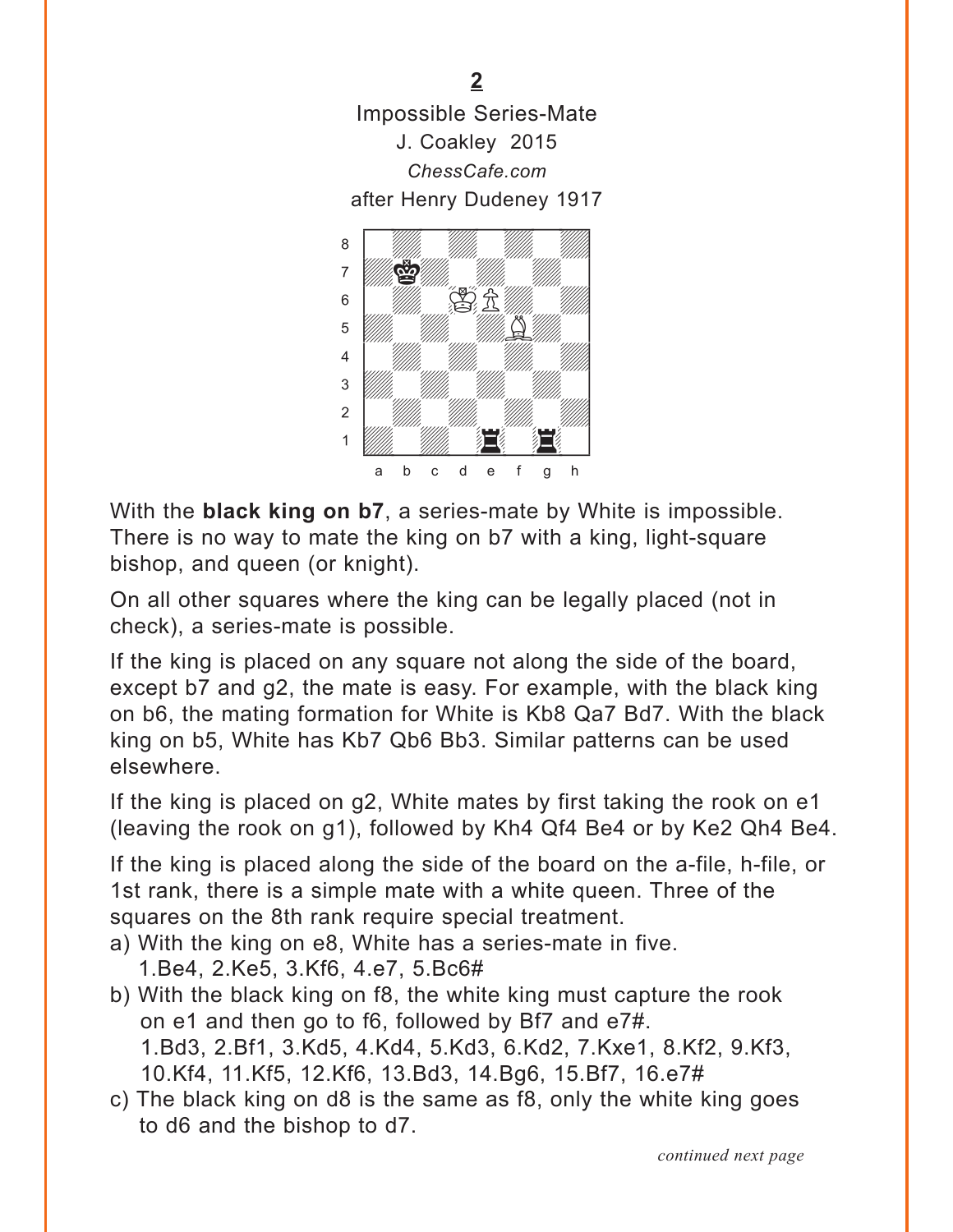<span id="page-5-0"></span>[Impossible Series-Mate](#page-1-0) J. Coakley 2015 *ChessCafe.com* after Henry Dudeney 1917



With the **black king on b7**, a series-mate by White is impossible. There is no way to mate the king on b7 with a king, light-square bishop, and queen (or knight).

On all other squares where the king can be legally placed (not in check), a series-mate is possible.

If the king is placed on any square not along the side of the board, except b7 and g2, the mate is easy. For example, with the black king on b6, the mating formation for White is Kb8 Qa7 Bd7. With the black king on b5, White has Kb7 Qb6 Bb3. Similar patterns can be used elsewhere.

If the king is placed on g2, White mates by first taking the rook on e1 (leaving the rook on g1), followed by Kh4 Qf4 Be4 or by Ke2 Qh4 Be4.

If the king is placed along the side of the board on the a-file, h-file, or 1st rank, there is a simple mate with a white queen. Three of the squares on the 8th rank require special treatment.

- a) With the king on e8, White has a series-mate in five. 1.Be4, 2.Ke5, 3.Kf6, 4.e7, 5.Bc6#
- b) With the black king on f8, the white king must capture the rook on e1 and then go to f6, followed by Bf7 and e7#. 1.Bd3, 2.Bf1, 3.Kd5, 4.Kd4, 5.Kd3, 6.Kd2, 7.Kxe1, 8.Kf2, 9.Kf3, 10.Kf4, 11.Kf5, 12.Kf6, 13.Bd3, 14.Bg6, 15.Bf7, 16.e7#
- c) The black king on d8 is the same as f8, only the white king goes to d6 and the bishop to d7.

*continued next page*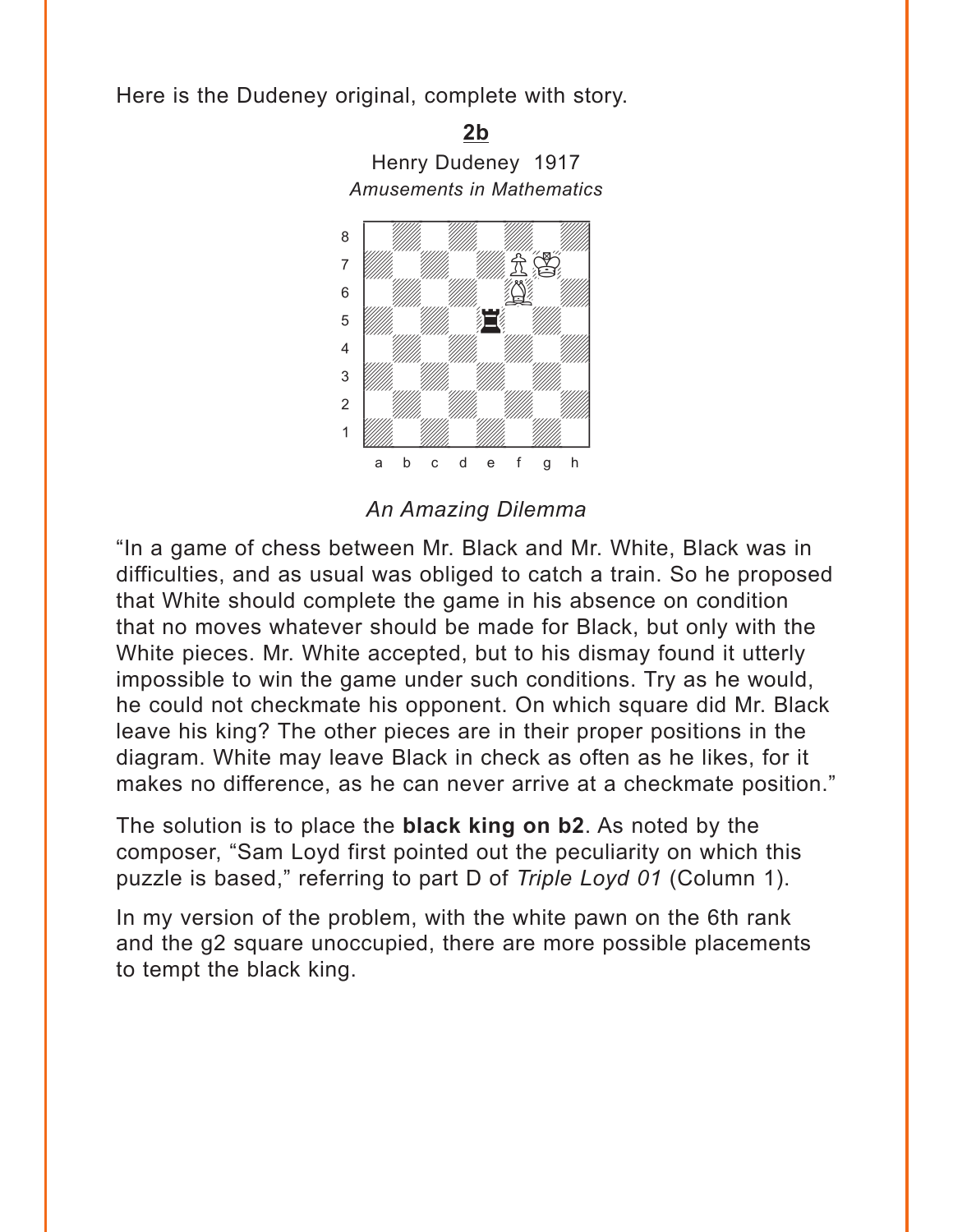Here is the Dudeney original, complete with story.

Henry Dudeney 1917 *Amusements in Mathematics* where  $\frac{1}{2}$  is the contract of  $\frac{1}{2}$ a Milliam Milliam Milliam Milliam Milliam Milliam Milliam Milliam Milliam Milliam Milliam Milliam Milliam Mill the William Communication of the Communication of the Communication of the Communication of the Communication of the Communication of the Communication of the Communication of the Communication of the Communication of the  $\begin{array}{|c|c|c|c|c|}\hline \text{\bf{}} & \text{\bf{}} & \text{\bf{}} & \text{\bf{}} & \text{\bf{}} & \text{\bf{}} \\ \text{\bf{}} & \text{\bf{}} & \text{\bf{}} & \text{\bf{}} & \text{\bf{}} & \text{\bf{}} \\ \text{\bf{}} & \text{\bf{}} & \text{\bf{}} & \text{\bf{}} & \text{\bf{}} & \text{\bf{}} \\ \hline \end{array}$ <u>ber 1999 – 1999 – 1999 – 1999 – 1999 – 1999 – 1999 – 1999 – 1999 – 1999 – 1999 – 1999 – 1999 – 1999 – 1999 – 1</u> 4 | *William William William William William William William William William William William William William William William William William William William William William William William William William William William W* 3 *William William William William William William William William William William William William William William W* 2 | *William William William William William William William William William William William* 1 *Udwarddwrain ym y ym y gyda*d y cyfeiriad yn y gyda y gyda y gyda y gyda y gyda y gyda y gyda y gyda y gyda y<br>Trwy y gyda y gyda y gyda y gyda y gyda y gyda y gyda y gyda y gyda y gyda y gyda y gyda y gyda y gyda y gyda a b c d e f g h

**[2b](#page-1-0)**

*An Amazing Dilemma*

"In a game of chess between Mr. Black and Mr. White, Black was in difficulties, and as usual was obliged to catch a train. So he proposed that White should complete the game in his absence on condition that no moves whatever should be made for Black, but only with the White pieces. Mr. White accepted, but to his dismay found it utterly impossible to win the game under such conditions. Try as he would, he could not checkmate his opponent. On which square did Mr. Black leave his king? The other pieces are in their proper positions in the diagram. White may leave Black in check as often as he likes, for it makes no difference, as he can never arrive at a checkmate position."

The solution is to place the **black king on b2**. As noted by the composer, "Sam Loyd first pointed out the peculiarity on which this puzzle is based," referring to part D of *Triple Loyd 01* (Column 1).

In my version of the problem, with the white pawn on the 6th rank and the g2 square unoccupied, there are more possible placements to tempt the black king.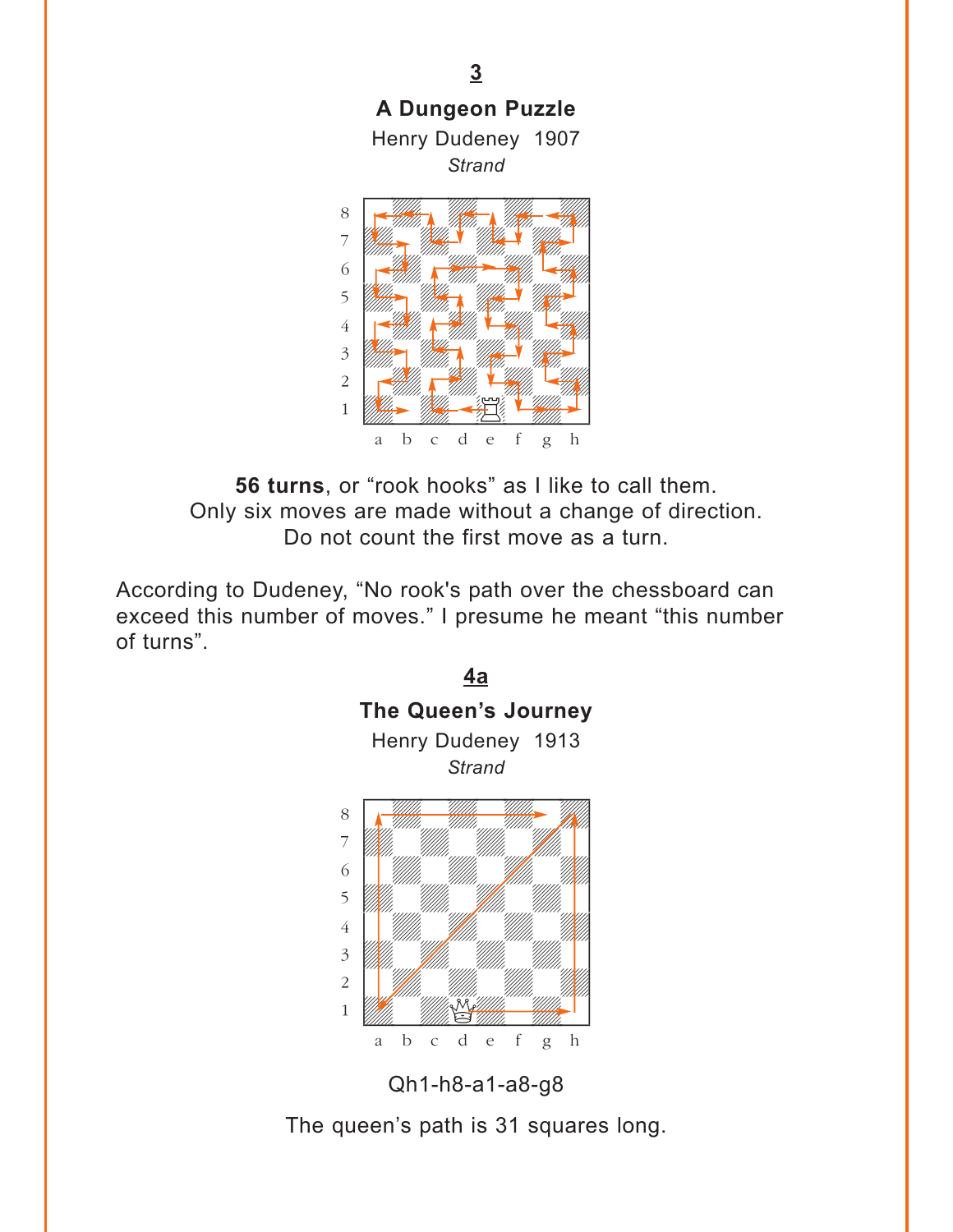<span id="page-7-0"></span>

**56 turns**, or "rook hooks" as I like to call them. Only six moves are made without a change of direction. Do not count the first move as a turn.

According to Dudeney, "No rook's path over the chessboard can exceed this number of moves." I presume he meant "this number of turns".



Qh1-h8-a1-a8-g8

The queen's path is 31 squares long.